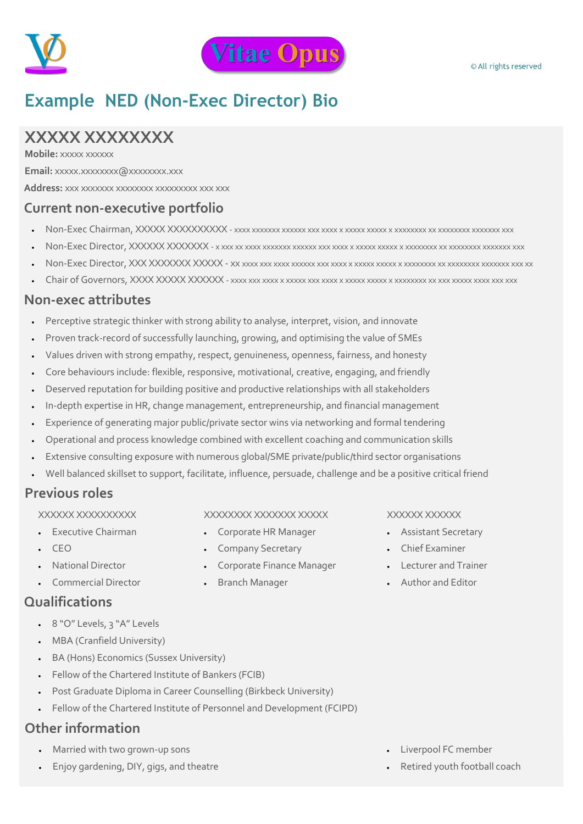

# **Example NED (Non-Exec Director) Bio**

# **XXXXX XXXXXXXX**

**Mobile:** xxxxx xxxxxx

**Email:** xxxxx.xxxxxxxx@xxxxxxxx.xxx

**Address:** xxx xxxxxxx xxxxxxxx xxxxxxxxx xxx xxx

# **Current non-executive portfolio**

- Non-Exec Chairman, XXXXX XXXXXXXXXX xxxx xxxxxxx xxxxxx xxx xxxx x xxxxx xxxxx x xxxxxxxx xx xxxxxxxx xxxxxxx xxx
- Non-Exec Director, XXXXXX XXXXXXX x xxx xx xxxx xxxxxxx xxxxxx xxx xxxx x xxxxx xxxxx x xxxxxxxx xx xxxxxxxx xxxxxxx xxx
- Non-Exec Director, XXX XXXXXXX XXXXX xx xxxx xxx xxxx xxxxxx xxx xxxx x xxxxx xxxxx x xxxxxxxx xx xxxxxxxx xxxxxxx xxx xx
- Chair of Governors, XXXX XXXXX XXXXXX xxxx xxx xxxx x xxxxx xxx xxxx x xxxxx xxxxx x xxxxxxxx xx xxx xxxxx xxxx xxx xxx

### **Non-exec attributes**

- Perceptive strategic thinker with strong ability to analyse, interpret, vision, and innovate
- Proven track-record of successfully launching, growing, and optimising the value of SMEs
- Values driven with strong empathy, respect, genuineness, openness, fairness, and honesty
- Core behaviours include: flexible, responsive, motivational, creative, engaging, and friendly
- Deserved reputation for building positive and productive relationships with all stakeholders
- In-depth expertise in HR, change management, entrepreneurship, and financial management
- Experience of generating major public/private sector wins via networking and formal tendering
- Operational and process knowledge combined with excellent coaching and communication skills
- Extensive consulting exposure with numerous global/SME private/public/third sector organisations
- Well balanced skillset to support, facilitate, influence, persuade, challenge and be a positive critical friend

# **Previous roles**

XXXXXX XXXXXXXXXX

- Executive Chairman
- $\cdot$  CEO
- National Director
- Commercial Director

# **Qualifications**

- 8 "O" Levels, 3 "A" Levels
- MBA (Cranfield University)
- BA (Hons) Economics (Sussex University)
- Fellow of the Chartered Institute of Bankers (FCIB)
- Post Graduate Diploma in Career Counselling (Birkbeck University)
- Fellow of the Chartered Institute of Personnel and Development (FCIPD)

# **Other information**

- Married with two grown-up sons
- Enjoy gardening, DIY, gigs, and theatre
- XXXXXXXX XXXXXXX XXXXX
- Corporate HR Manager
- Company Secretary
- Corporate Finance Manager
- Branch Manager

### XXXXXX XXXXXX

- Assistant Secretary
- Chief Examiner
- Lecturer and Trainer
- Author and Editor

- Liverpool FC member
- Retired youth football coach